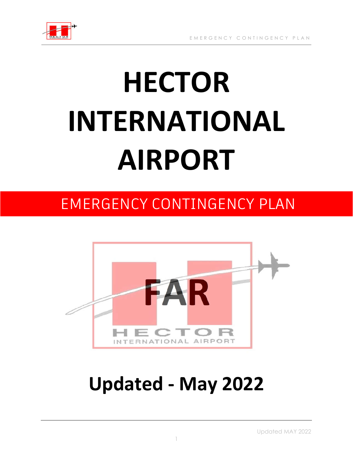

# **HECTOR INTERNATIONAL AIRPORT**

### EMERGENCY CONTINGENCY PLAN



## **Updated - May 2022**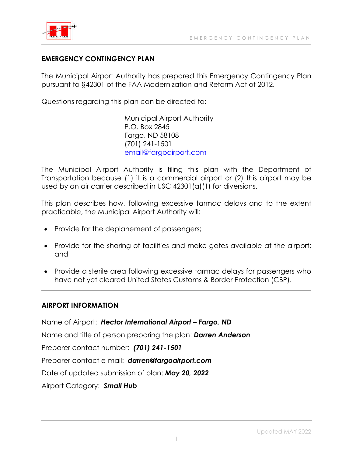

#### **EMERGENCY CONTINGENCY PLAN**

The Municipal Airport Authority has prepared this Emergency Contingency Plan pursuant to §42301 of the FAA Modernization and Reform Act of 2012.

Questions regarding this plan can be directed to:

Municipal Airport Authority P.O. Box 2845 Fargo, ND 58108 (701) 241-1501 email@fargoairport.com

The Municipal Airport Authority is filing this plan with the Department of Transportation because (1) it is a commercial airport or (2) this airport may be used by an air carrier described in USC 42301(a)(1) for diversions.

This plan describes how, following excessive tarmac delays and to the extent practicable, the Municipal Airport Authority will:

- Provide for the deplanement of passengers;
- Provide for the sharing of facilities and make gates available at the airport; and
- Provide a sterile area following excessive tarmac delays for passengers who have not yet cleared United States Customs & Border Protection (CBP).

#### **AIRPORT INFORMATION**

Name of Airport: *Hector International Airport – Fargo, ND* Name and title of person preparing the plan: *Darren Anderson* Preparer contact number: *(701) 241-1501* Preparer contact e-mail: *darren@fargoairport.com* Date of updated submission of plan: *May 20, 2022* Airport Category: *Small Hub*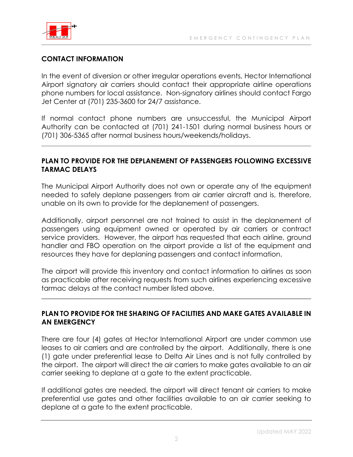

#### **CONTACT INFORMATION**

In the event of diversion or other irregular operations events, Hector International Airport signatory air carriers should contact their appropriate airline operations phone numbers for local assistance. Non-signatory airlines should contact Fargo Jet Center at (701) 235-3600 for 24/7 assistance.

If normal contact phone numbers are unsuccessful, the Municipal Airport Authority can be contacted at (701) 241-1501 during normal business hours or (701) 306-5365 after normal business hours/weekends/holidays.

#### **PLAN TO PROVIDE FOR THE DEPLANEMENT OF PASSENGERS FOLLOWING EXCESSIVE TARMAC DELAYS**

The Municipal Airport Authority does not own or operate any of the equipment needed to safely deplane passengers from air carrier aircraft and is, therefore, unable on its own to provide for the deplanement of passengers.

Additionally, airport personnel are not trained to assist in the deplanement of passengers using equipment owned or operated by air carriers or contract service providers. However, the airport has requested that each airline, ground handler and FBO operation on the airport provide a list of the equipment and resources they have for deplaning passengers and contact information.

The airport will provide this inventory and contact information to airlines as soon as practicable after receiving requests from such airlines experiencing excessive tarmac delays at the contact number listed above.

#### **PLAN TO PROVIDE FOR THE SHARING OF FACILITIES AND MAKE GATES AVAILABLE IN AN EMERGENCY**

There are four (4) gates at Hector International Airport are under common use leases to air carriers and are controlled by the airport. Additionally, there is one (1) gate under preferential lease to Delta Air Lines and is not fully controlled by the airport. The airport will direct the air carriers to make gates available to an air carrier seeking to deplane at a gate to the extent practicable.

If additional gates are needed, the airport will direct tenant air carriers to make preferential use gates and other facilities available to an air carrier seeking to deplane at a gate to the extent practicable.